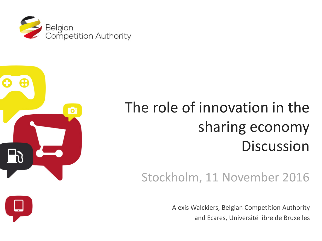



# The role of innovation in the sharing economy **Discussion**

# Stockholm, 11 November 2016

Alexis Walckiers, Belgian Competition Authority and Ecares, Université libre de Bruxelles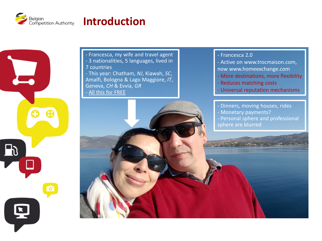

⊕

 $\mathbf{D}$ 

### **Introduction**

- Francesca, my wife and travel agent - 3 nationalities, 5 languages, lived in 7 countries - This year: Chatham, *NJ*, Kiawah, *SC*, Amalfi, Bologna & Lago Maggiore, *IT*, Geneva, *CH* & Evvia, *GR* - All this for FREE

#### - Francesca 2.0

- Active on www.trocmaison.com, now www.homeexchange.com
- More destinations, more flexibility
- Reduces matching costs
- Universal reputation mechanisms
- Dinners, moving houses, rides
- Monetary payments?
- Personal sphere and professional
- sphere are blurred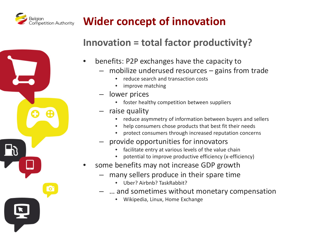

# **Wider concept of innovation**

#### **Innovation = total factor productivity?**

- benefits: P2P exchanges have the capacity to
	- mobilize underused resources gains from trade
		- reduce search and transaction costs
		- improve matching
	- lower prices
		- foster healthy competition between suppliers
	- raise quality
		- reduce asymmetry of information between buyers and sellers
		- help consumers chose products that best fit their needs
		- protect consumers through increased reputation concerns
	- provide opportunities for innovators
		- facilitate entry at various levels of the value chain
		- potential to improve productive efficiency (x-efficiency)
- some benefits may not increase GDP growth
	- many sellers produce in their spare time
		- Uber? Airbnb? TaskRabbit?
	- … and sometimes without monetary compensation
		- Wikipedia, Linux, Home Exchange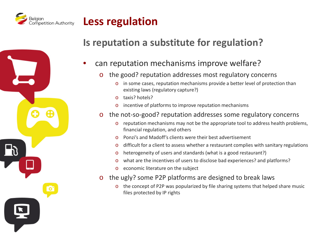

### **Less regulation**

#### **Is reputation a substitute for regulation?**

- can reputation mechanisms improve welfare?
	- o the good? reputation addresses most regulatory concerns
		- o in some cases, reputation mechanisms provide a better level of protection than existing laws (regulatory capture?)
		- o taxis? hotels?
		- o incentive of platforms to improve reputation mechanisms
	- o the not-so-good? reputation addresses some regulatory concerns
		- o reputation mechanisms may not be the appropriate tool to address health problems, financial regulation, and others
		- o Ponzi's and Madoff's clients were their best advertisement
		- o difficult for a client to assess whether a restaurant complies with sanitary regulations
		- o heterogeneity of users and standards (what is a good restaurant?)
		- o what are the incentives of users to disclose bad experiences? and platforms?
		- o economic literature on the subject
	- o the ugly? some P2P platforms are designed to break laws
		- o the concept of P2P was popularized by file sharing systems that helped share music files protected by IP rights